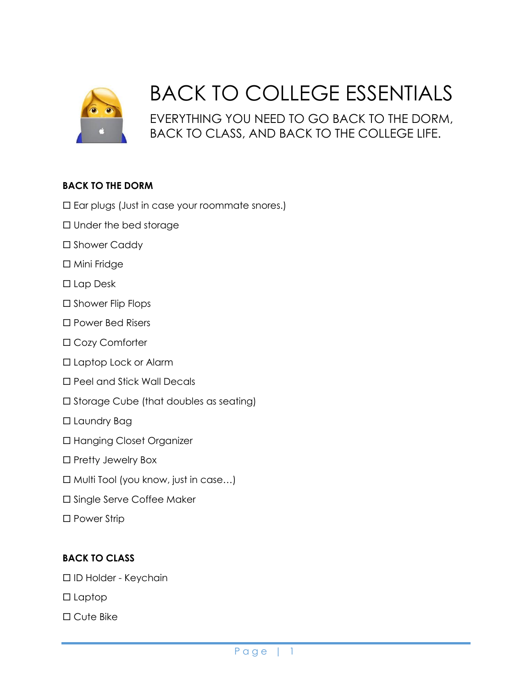

## BACK TO COLLEGE ESSENTIALS

EVERYTHING YOU NEED TO GO BACK TO THE DORM, BACK TO CLASS, AND BACK TO THE COLLEGE LIFE.

## **BACK TO THE DORM**

- $\square$  Ear plugs (Just in case your roommate snores.)
- $\square$  Under the bed storage
- □ Shower Caddy
- □ Mini Fridge
- □ Lap Desk
- $\square$  Shower Flip Flops
- □ Power Bed Risers
- Cozy Comforter
- Laptop Lock or Alarm
- □ Peel and Stick Wall Decals
- $\square$  Storage Cube (that doubles as seating)
- □ Laundry Bag
- Hanging Closet Organizer
- $\square$  Pretty Jewelry Box
- $\Box$  Multi Tool (you know, just in case...)
- □ Single Serve Coffee Maker
- □ Power Strip

## **BACK TO CLASS**

- ID Holder Keychain
- $\square$  Laptop
- □ Cute Bike